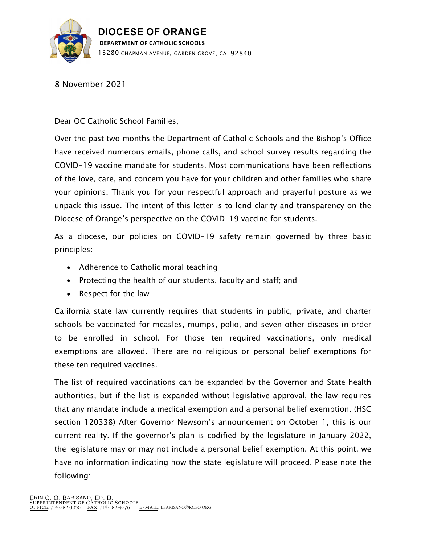

8 November 2021

Dear OC Catholic School Families,

Over the past two months the Department of Catholic Schools and the Bishop's Office have received numerous emails, phone calls, and school survey results regarding the COVID-19 vaccine mandate for students. Most communications have been reflections of the love, care, and concern you have for your children and other families who share your opinions. Thank you for your respectful approach and prayerful posture as we unpack this issue. The intent of this letter is to lend clarity and transparency on the Diocese of Orange's perspective on the COVID-19 vaccine for students.

As a diocese, our policies on COVID-19 safety remain governed by three basic principles:

- Adherence to Catholic moral teaching
- Protecting the health of our students, faculty and staff; and
- Respect for the law

California state law currently requires that students in public, private, and charter schools be vaccinated for measles, mumps, polio, and seven other diseases in order to be enrolled in school. For those ten required vaccinations, only medical exemptions are allowed. There are no religious or personal belief exemptions for these ten required vaccines.

The list of required vaccinations can be expanded by the Governor and State health authorities, but if the list is expanded without legislative approval, the law requires that any mandate include a medical exemption and a personal belief exemption. (HSC section 120338) After Governor Newsom's announcement on October 1, this is our current reality. If the governor's plan is codified by the legislature in January 2022, the legislature may or may not include a personal belief exemption. At this point, we have no information indicating how the state legislature will proceed. Please note the following: